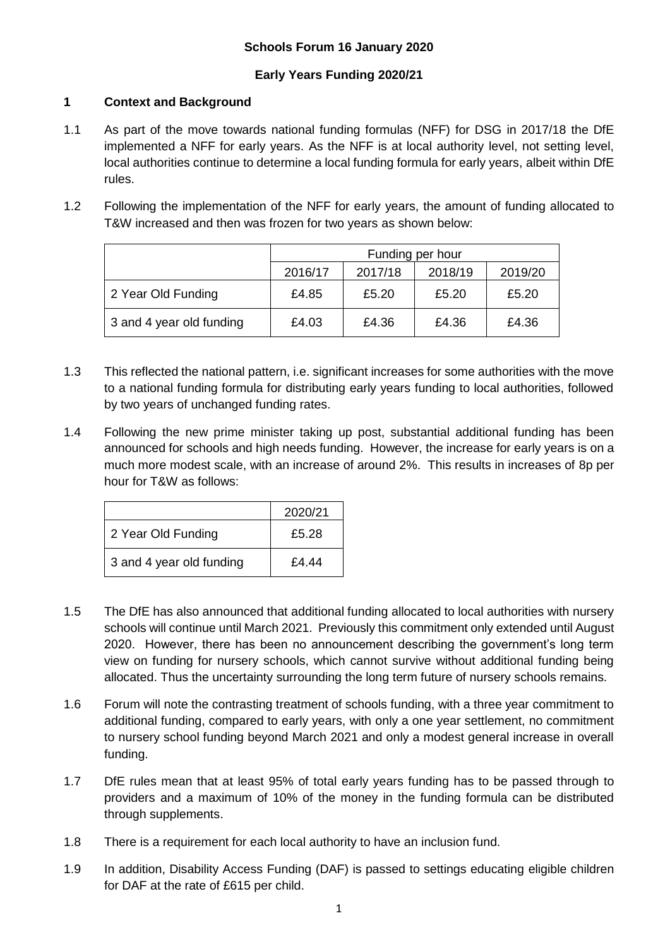## **Early Years Funding 2020/21**

## **1 Context and Background**

- 1.1 As part of the move towards national funding formulas (NFF) for DSG in 2017/18 the DfE implemented a NFF for early years. As the NFF is at local authority level, not setting level, local authorities continue to determine a local funding formula for early years, albeit within DfE rules.
- 1.2 Following the implementation of the NFF for early years, the amount of funding allocated to T&W increased and then was frozen for two years as shown below:

|                          | Funding per hour |         |         |         |
|--------------------------|------------------|---------|---------|---------|
|                          | 2016/17          | 2017/18 | 2018/19 | 2019/20 |
| 2 Year Old Funding       | £4.85            | £5.20   | £5.20   | £5.20   |
| 3 and 4 year old funding | £4.03            | £4.36   | £4.36   | £4.36   |

- 1.3 This reflected the national pattern, i.e. significant increases for some authorities with the move to a national funding formula for distributing early years funding to local authorities, followed by two years of unchanged funding rates.
- 1.4 Following the new prime minister taking up post, substantial additional funding has been announced for schools and high needs funding. However, the increase for early years is on a much more modest scale, with an increase of around 2%. This results in increases of 8p per hour for T&W as follows:

|                          | 2020/21 |
|--------------------------|---------|
| 2 Year Old Funding       | £5.28   |
| 3 and 4 year old funding | £44 F   |

- 1.5 The DfE has also announced that additional funding allocated to local authorities with nursery schools will continue until March 2021. Previously this commitment only extended until August 2020. However, there has been no announcement describing the government's long term view on funding for nursery schools, which cannot survive without additional funding being allocated. Thus the uncertainty surrounding the long term future of nursery schools remains.
- 1.6 Forum will note the contrasting treatment of schools funding, with a three year commitment to additional funding, compared to early years, with only a one year settlement, no commitment to nursery school funding beyond March 2021 and only a modest general increase in overall funding.
- 1.7 DfE rules mean that at least 95% of total early years funding has to be passed through to providers and a maximum of 10% of the money in the funding formula can be distributed through supplements.
- 1.8 There is a requirement for each local authority to have an inclusion fund.
- 1.9 In addition, Disability Access Funding (DAF) is passed to settings educating eligible children for DAF at the rate of £615 per child.